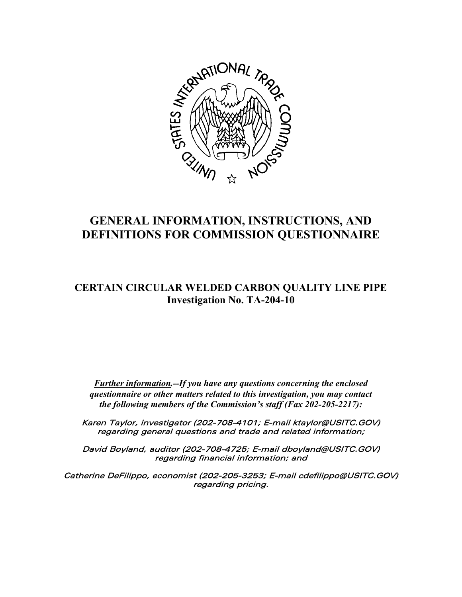

# **GENERAL INFORMATION, INSTRUCTIONS, AND DEFINITIONS FOR COMMISSION QUESTIONNAIRE**

## **CERTAIN CIRCULAR WELDED CARBON QUALITY LINE PIPE Investigation No. TA-204-10**

*Further information.--If you have any questions concerning the enclosed questionnaire or other matters related to this investigation, you may contact the following members of the Commission's staff (Fax 202-205-2217):*

Karen Taylor, investigator (202-708-4101; E-mail ktaylor@USITC.GOV) regarding general questions and trade and related information;

David Boyland, auditor (202-708-4725; E-mail dboyland@USITC.GOV) regarding financial information; and

Catherine DeFilippo, economist (202-205-3253; E-mail cdefilippo@USITC.GOV) regarding pricing.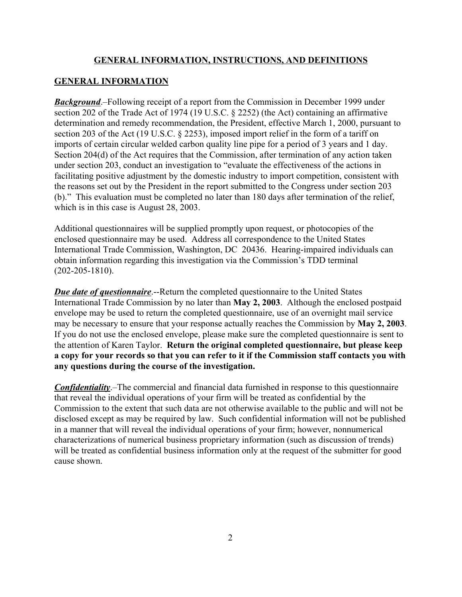## **GENERAL INFORMATION**

*Background*.–Following receipt of a report from the Commission in December 1999 under section 202 of the Trade Act of 1974 (19 U.S.C. § 2252) (the Act) containing an affirmative determination and remedy recommendation, the President, effective March 1, 2000, pursuant to section 203 of the Act (19 U.S.C. § 2253), imposed import relief in the form of a tariff on imports of certain circular welded carbon quality line pipe for a period of 3 years and 1 day. Section 204(d) of the Act requires that the Commission, after termination of any action taken under section 203, conduct an investigation to "evaluate the effectiveness of the actions in facilitating positive adjustment by the domestic industry to import competition, consistent with the reasons set out by the President in the report submitted to the Congress under section 203 (b)." This evaluation must be completed no later than 180 days after termination of the relief, which is in this case is August 28, 2003.

Additional questionnaires will be supplied promptly upon request, or photocopies of the enclosed questionnaire may be used. Address all correspondence to the United States International Trade Commission, Washington, DC 20436. Hearing-impaired individuals can obtain information regarding this investigation via the Commission's TDD terminal (202-205-1810).

*Due date of questionnaire.*--Return the completed questionnaire to the United States International Trade Commission by no later than **May 2, 2003**. Although the enclosed postpaid envelope may be used to return the completed questionnaire, use of an overnight mail service may be necessary to ensure that your response actually reaches the Commission by **May 2, 2003**. If you do not use the enclosed envelope, please make sure the completed questionnaire is sent to the attention of Karen Taylor. **Return the original completed questionnaire, but please keep a copy for your records so that you can refer to it if the Commission staff contacts you with any questions during the course of the investigation.**

*Confidentiality*.–The commercial and financial data furnished in response to this questionnaire that reveal the individual operations of your firm will be treated as confidential by the Commission to the extent that such data are not otherwise available to the public and will not be disclosed except as may be required by law. Such confidential information will not be published in a manner that will reveal the individual operations of your firm; however, nonnumerical characterizations of numerical business proprietary information (such as discussion of trends) will be treated as confidential business information only at the request of the submitter for good cause shown.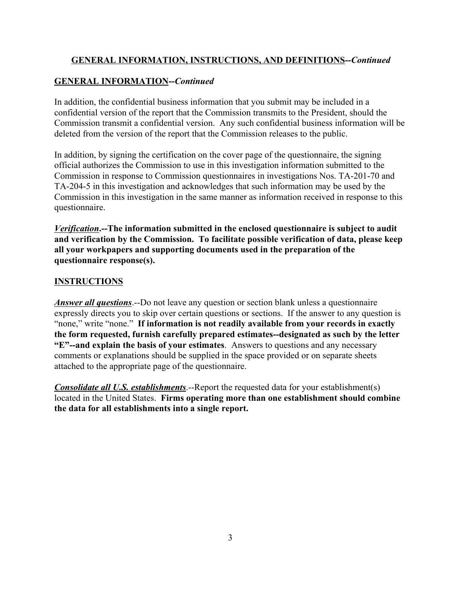## **GENERAL INFORMATION--***Continued*

In addition, the confidential business information that you submit may be included in a confidential version of the report that the Commission transmits to the President, should the Commission transmit a confidential version. Any such confidential business information will be deleted from the version of the report that the Commission releases to the public.

In addition, by signing the certification on the cover page of the questionnaire, the signing official authorizes the Commission to use in this investigation information submitted to the Commission in response to Commission questionnaires in investigations Nos. TA-201-70 and TA-204-5 in this investigation and acknowledges that such information may be used by the Commission in this investigation in the same manner as information received in response to this questionnaire.

*Verification***.--The information submitted in the enclosed questionnaire is subject to audit and verification by the Commission. To facilitate possible verification of data, please keep all your workpapers and supporting documents used in the preparation of the questionnaire response(s).**

## **INSTRUCTIONS**

*Answer all questions*.--Do not leave any question or section blank unless a questionnaire expressly directs you to skip over certain questions or sections. If the answer to any question is "none," write "none." **If information is not readily available from your records in exactly the form requested, furnish carefully prepared estimates--designated as such by the letter "E"--and explain the basis of your estimates**. Answers to questions and any necessary comments or explanations should be supplied in the space provided or on separate sheets attached to the appropriate page of the questionnaire.

*Consolidate all U.S. establishments*.--Report the requested data for your establishment(s) located in the United States. **Firms operating more than one establishment should combine the data for all establishments into a single report.**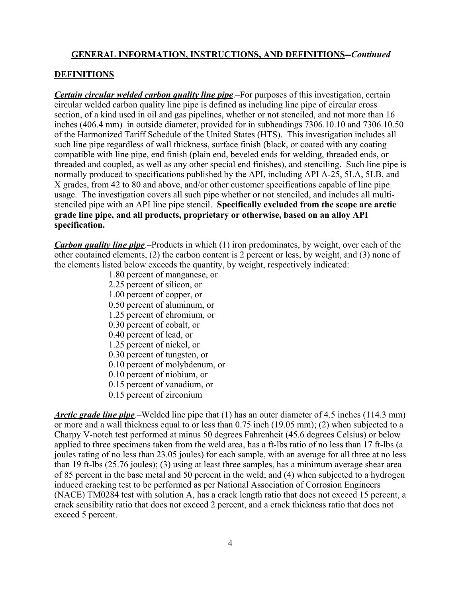#### **DEFINITIONS**

*Certain circular welded carbon quality line pipe*.–For purposes of this investigation, certain circular welded carbon quality line pipe is defined as including line pipe of circular cross section, of a kind used in oil and gas pipelines, whether or not stenciled, and not more than 16 inches (406.4 mm) in outside diameter, provided for in subheadings 7306.10.10 and 7306.10.50 of the Harmonized Tariff Schedule of the United States (HTS). This investigation includes all such line pipe regardless of wall thickness, surface finish (black, or coated with any coating compatible with line pipe, end finish (plain end, beveled ends for welding, threaded ends, or threaded and coupled, as well as any other special end finishes), and stenciling. Such line pipe is normally produced to specifications published by the API, including API A-25, 5LA, 5LB, and X grades, from 42 to 80 and above, and/or other customer specifications capable of line pipe usage. The investigation covers all such pipe whether or not stenciled, and includes all multistenciled pipe with an API line pipe stencil. **Specifically excluded from the scope are arctic grade line pipe, and all products, proprietary or otherwise, based on an alloy API specification.**

*Carbon quality line pipe*.–Products in which (1) iron predominates, by weight, over each of the other contained elements, (2) the carbon content is 2 percent or less, by weight, and (3) none of the elements listed below exceeds the quantity, by weight, respectively indicated:

- 1.80 percent of manganese, or
- 2.25 percent of silicon, or
- 1.00 percent of copper, or
- 0.50 percent of aluminum, or
- 1.25 percent of chromium, or
- 0.30 percent of cobalt, or
- 0.40 percent of lead, or
- 1.25 percent of nickel, or
- 0.30 percent of tungsten, or
- 0.10 percent of molybdenum, or
- 0.10 percent of niobium, or
- 0.15 percent of vanadium, or
- 0.15 percent of zirconium

*Arctic grade line pipe*.–Welded line pipe that (1) has an outer diameter of 4.5 inches (114.3 mm) or more and a wall thickness equal to or less than 0.75 inch (19.05 mm); (2) when subjected to a Charpy V-notch test performed at minus 50 degrees Fahrenheit (45.6 degrees Celsius) or below applied to three specimens taken from the weld area, has a ft-lbs ratio of no less than 17 ft-lbs (a joules rating of no less than 23.05 joules) for each sample, with an average for all three at no less than 19 ft-lbs (25.76 joules); (3) using at least three samples, has a minimum average shear area of 85 percent in the base metal and 50 percent in the weld; and (4) when subjected to a hydrogen induced cracking test to be performed as per National Association of Corrosion Engineers (NACE) TM0284 test with solution A, has a crack length ratio that does not exceed 15 percent, a crack sensibility ratio that does not exceed 2 percent, and a crack thickness ratio that does not exceed 5 percent.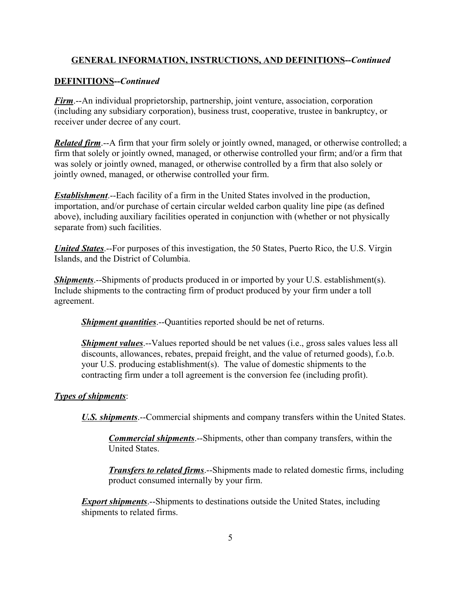## **DEFINITIONS--***Continued*

*Firm*.--An individual proprietorship, partnership, joint venture, association, corporation (including any subsidiary corporation), business trust, cooperative, trustee in bankruptcy, or receiver under decree of any court.

*Related firm.*--A firm that your firm solely or jointly owned, managed, or otherwise controlled; a firm that solely or jointly owned, managed, or otherwise controlled your firm; and/or a firm that was solely or jointly owned, managed, or otherwise controlled by a firm that also solely or jointly owned, managed, or otherwise controlled your firm.

*Establishment*.--Each facility of a firm in the United States involved in the production, importation, and/or purchase of certain circular welded carbon quality line pipe (as defined above), including auxiliary facilities operated in conjunction with (whether or not physically separate from) such facilities.

*United States*.--For purposes of this investigation, the 50 States, Puerto Rico, the U.S. Virgin Islands, and the District of Columbia.

*Shipments*.--Shipments of products produced in or imported by your U.S. establishment(s). Include shipments to the contracting firm of product produced by your firm under a toll agreement.

*Shipment quantities*.--Quantities reported should be net of returns.

*Shipment values*.--Values reported should be net values (i.e., gross sales values less all discounts, allowances, rebates, prepaid freight, and the value of returned goods), f.o.b. your U.S. producing establishment(s). The value of domestic shipments to the contracting firm under a toll agreement is the conversion fee (including profit).

#### *Types of shipments*:

*U.S. shipments*.--Commercial shipments and company transfers within the United States.

*Commercial shipments*.--Shipments, other than company transfers, within the United States.

*Transfers to related firms*.--Shipments made to related domestic firms, including product consumed internally by your firm.

*Export shipments*.--Shipments to destinations outside the United States, including shipments to related firms.